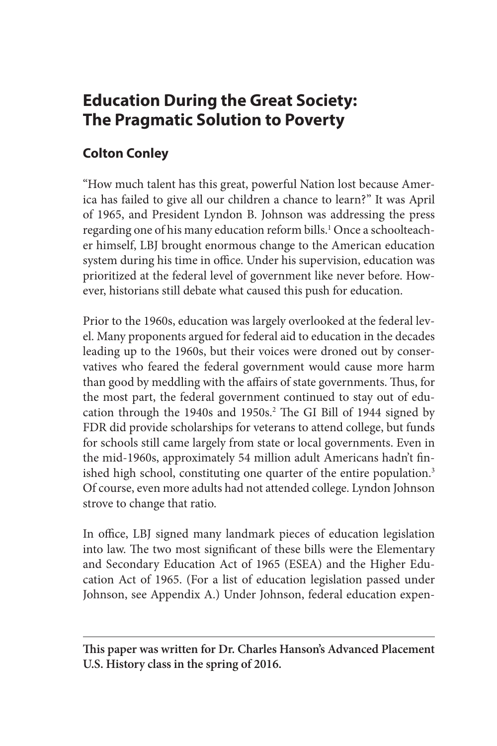# **Education During the Great Society: The Pragmatic Solution to Poverty**

# **Colton Conley**

"How much talent has this great, powerful Nation lost because America has failed to give all our children a chance to learn?" It was April of 1965, and President Lyndon B. Johnson was addressing the press regarding one of his many education reform bills.<sup>1</sup> Once a schoolteacher himself, LBJ brought enormous change to the American education system during his time in office. Under his supervision, education was prioritized at the federal level of government like never before. However, historians still debate what caused this push for education.

Prior to the 1960s, education was largely overlooked at the federal level. Many proponents argued for federal aid to education in the decades leading up to the 1960s, but their voices were droned out by conservatives who feared the federal government would cause more harm than good by meddling with the affairs of state governments. Thus, for the most part, the federal government continued to stay out of education through the 1940s and 1950s.<sup>2</sup> The GI Bill of 1944 signed by FDR did provide scholarships for veterans to attend college, but funds for schools still came largely from state or local governments. Even in the mid-1960s, approximately 54 million adult Americans hadn't finished high school, constituting one quarter of the entire population.<sup>3</sup> Of course, even more adults had not attended college. Lyndon Johnson strove to change that ratio.

In office, LBJ signed many landmark pieces of education legislation into law. The two most significant of these bills were the Elementary and Secondary Education Act of 1965 (ESEA) and the Higher Education Act of 1965. (For a list of education legislation passed under Johnson, see Appendix A.) Under Johnson, federal education expen-

**This paper was written for Dr. Charles Hanson's Advanced Placement U.S. History class in the spring of 2016.**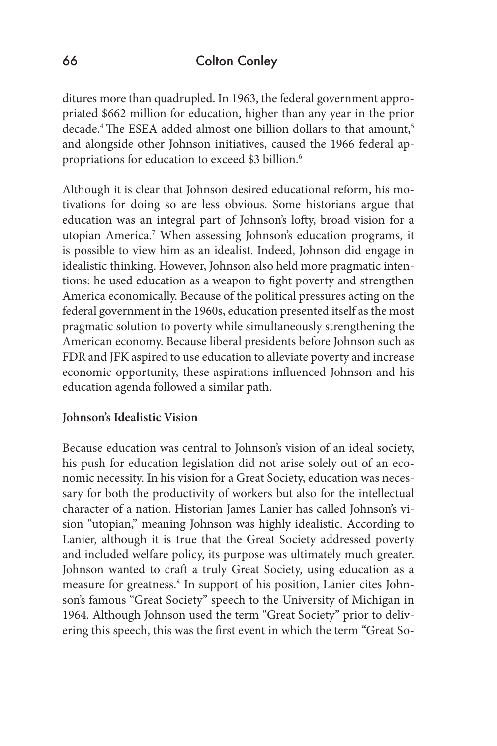ditures more than quadrupled. In 1963, the federal government appropriated \$662 million for education, higher than any year in the prior decade.<sup>4</sup> The ESEA added almost one billion dollars to that amount,<sup>5</sup> and alongside other Johnson initiatives, caused the 1966 federal appropriations for education to exceed \$3 billion.<sup>6</sup>

Although it is clear that Johnson desired educational reform, his motivations for doing so are less obvious. Some historians argue that education was an integral part of Johnson's lofty, broad vision for a utopian America.7 When assessing Johnson's education programs, it is possible to view him as an idealist. Indeed, Johnson did engage in idealistic thinking. However, Johnson also held more pragmatic intentions: he used education as a weapon to fight poverty and strengthen America economically. Because of the political pressures acting on the federal government in the 1960s, education presented itself as the most pragmatic solution to poverty while simultaneously strengthening the American economy. Because liberal presidents before Johnson such as FDR and JFK aspired to use education to alleviate poverty and increase economic opportunity, these aspirations influenced Johnson and his education agenda followed a similar path.

### **Johnson's Idealistic Vision**

Because education was central to Johnson's vision of an ideal society, his push for education legislation did not arise solely out of an economic necessity. In his vision for a Great Society, education was necessary for both the productivity of workers but also for the intellectual character of a nation. Historian James Lanier has called Johnson's vision "utopian," meaning Johnson was highly idealistic. According to Lanier, although it is true that the Great Society addressed poverty and included welfare policy, its purpose was ultimately much greater. Johnson wanted to craft a truly Great Society, using education as a measure for greatness.<sup>8</sup> In support of his position, Lanier cites Johnson's famous "Great Society" speech to the University of Michigan in 1964. Although Johnson used the term "Great Society" prior to delivering this speech, this was the first event in which the term "Great So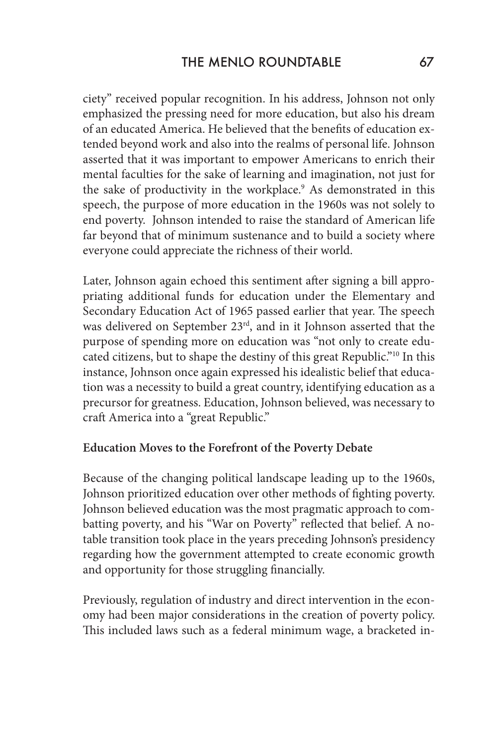ciety" received popular recognition. In his address, Johnson not only emphasized the pressing need for more education, but also his dream of an educated America. He believed that the benefits of education extended beyond work and also into the realms of personal life. Johnson asserted that it was important to empower Americans to enrich their mental faculties for the sake of learning and imagination, not just for the sake of productivity in the workplace.<sup>9</sup> As demonstrated in this speech, the purpose of more education in the 1960s was not solely to end poverty. Johnson intended to raise the standard of American life far beyond that of minimum sustenance and to build a society where everyone could appreciate the richness of their world.

Later, Johnson again echoed this sentiment after signing a bill appropriating additional funds for education under the Elementary and Secondary Education Act of 1965 passed earlier that year. The speech was delivered on September 23rd, and in it Johnson asserted that the purpose of spending more on education was "not only to create educated citizens, but to shape the destiny of this great Republic."10 In this instance, Johnson once again expressed his idealistic belief that education was a necessity to build a great country, identifying education as a precursor for greatness. Education, Johnson believed, was necessary to craft America into a "great Republic."

#### **Education Moves to the Forefront of the Poverty Debate**

Because of the changing political landscape leading up to the 1960s, Johnson prioritized education over other methods of fighting poverty. Johnson believed education was the most pragmatic approach to combatting poverty, and his "War on Poverty" reflected that belief. A notable transition took place in the years preceding Johnson's presidency regarding how the government attempted to create economic growth and opportunity for those struggling financially.

Previously, regulation of industry and direct intervention in the economy had been major considerations in the creation of poverty policy. This included laws such as a federal minimum wage, a bracketed in-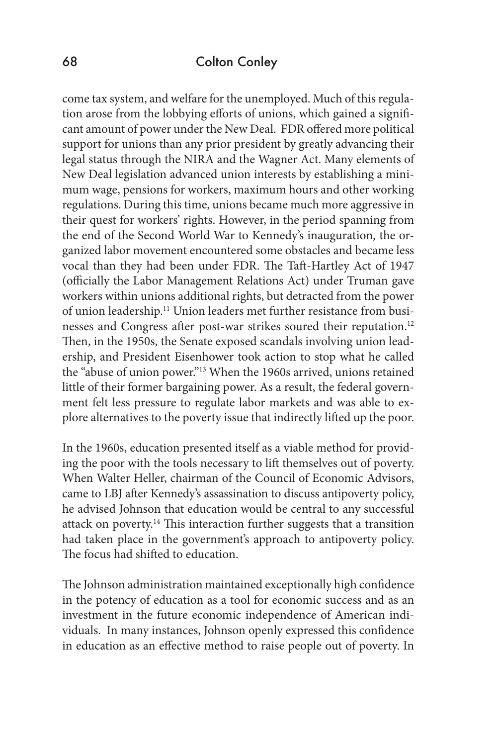come tax system, and welfare for the unemployed. Much of this regulation arose from the lobbying efforts of unions, which gained a significant amount of power under the New Deal. FDR offered more political support for unions than any prior president by greatly advancing their legal status through the NIRA and the Wagner Act. Many elements of New Deal legislation advanced union interests by establishing a minimum wage, pensions for workers, maximum hours and other working regulations. During this time, unions became much more aggressive in their quest for workers' rights. However, in the period spanning from the end of the Second World War to Kennedy's inauguration, the organized labor movement encountered some obstacles and became less vocal than they had been under FDR. The Taft-Hartley Act of 1947 (officially the Labor Management Relations Act) under Truman gave workers within unions additional rights, but detracted from the power of union leadership.11 Union leaders met further resistance from businesses and Congress after post-war strikes soured their reputation.<sup>12</sup> Then, in the 1950s, the Senate exposed scandals involving union leadership, and President Eisenhower took action to stop what he called the "abuse of union power."13 When the 1960s arrived, unions retained little of their former bargaining power. As a result, the federal government felt less pressure to regulate labor markets and was able to explore alternatives to the poverty issue that indirectly lifted up the poor.

In the 1960s, education presented itself as a viable method for providing the poor with the tools necessary to lift themselves out of poverty. When Walter Heller, chairman of the Council of Economic Advisors, came to LBJ after Kennedy's assassination to discuss antipoverty policy, he advised Johnson that education would be central to any successful attack on poverty.14 This interaction further suggests that a transition had taken place in the government's approach to antipoverty policy. The focus had shifted to education.

The Johnson administration maintained exceptionally high confidence in the potency of education as a tool for economic success and as an investment in the future economic independence of American individuals. In many instances, Johnson openly expressed this confidence in education as an effective method to raise people out of poverty. In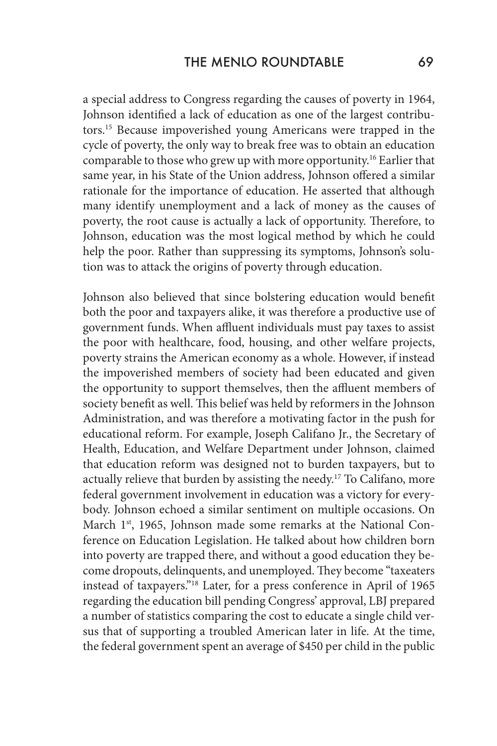a special address to Congress regarding the causes of poverty in 1964, Johnson identified a lack of education as one of the largest contributors.15 Because impoverished young Americans were trapped in the cycle of poverty, the only way to break free was to obtain an education comparable to those who grew up with more opportunity.16 Earlier that same year, in his State of the Union address, Johnson offered a similar rationale for the importance of education. He asserted that although many identify unemployment and a lack of money as the causes of poverty, the root cause is actually a lack of opportunity. Therefore, to Johnson, education was the most logical method by which he could help the poor. Rather than suppressing its symptoms, Johnson's solution was to attack the origins of poverty through education.

Johnson also believed that since bolstering education would benefit both the poor and taxpayers alike, it was therefore a productive use of government funds. When affluent individuals must pay taxes to assist the poor with healthcare, food, housing, and other welfare projects, poverty strains the American economy as a whole. However, if instead the impoverished members of society had been educated and given the opportunity to support themselves, then the affluent members of society benefit as well. This belief was held by reformers in the Johnson Administration, and was therefore a motivating factor in the push for educational reform. For example, Joseph Califano Jr., the Secretary of Health, Education, and Welfare Department under Johnson, claimed that education reform was designed not to burden taxpayers, but to actually relieve that burden by assisting the needy.<sup>17</sup> To Califano, more federal government involvement in education was a victory for everybody. Johnson echoed a similar sentiment on multiple occasions. On March 1<sup>st</sup>, 1965, Johnson made some remarks at the National Conference on Education Legislation. He talked about how children born into poverty are trapped there, and without a good education they become dropouts, delinquents, and unemployed. They become "taxeaters instead of taxpayers."18 Later, for a press conference in April of 1965 regarding the education bill pending Congress' approval, LBJ prepared a number of statistics comparing the cost to educate a single child versus that of supporting a troubled American later in life. At the time, the federal government spent an average of \$450 per child in the public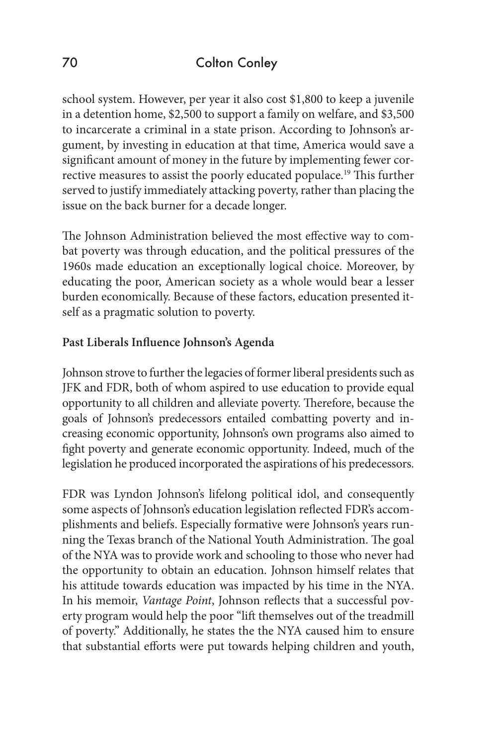school system. However, per year it also cost \$1,800 to keep a juvenile in a detention home, \$2,500 to support a family on welfare, and \$3,500 to incarcerate a criminal in a state prison. According to Johnson's argument, by investing in education at that time, America would save a significant amount of money in the future by implementing fewer corrective measures to assist the poorly educated populace.19 This further served to justify immediately attacking poverty, rather than placing the issue on the back burner for a decade longer.

The Johnson Administration believed the most effective way to combat poverty was through education, and the political pressures of the 1960s made education an exceptionally logical choice. Moreover, by educating the poor, American society as a whole would bear a lesser burden economically. Because of these factors, education presented itself as a pragmatic solution to poverty.

# **Past Liberals Influence Johnson's Agenda**

Johnson strove to further the legacies of former liberal presidents such as JFK and FDR, both of whom aspired to use education to provide equal opportunity to all children and alleviate poverty. Therefore, because the goals of Johnson's predecessors entailed combatting poverty and increasing economic opportunity, Johnson's own programs also aimed to fight poverty and generate economic opportunity. Indeed, much of the legislation he produced incorporated the aspirations of his predecessors.

FDR was Lyndon Johnson's lifelong political idol, and consequently some aspects of Johnson's education legislation reflected FDR's accomplishments and beliefs. Especially formative were Johnson's years running the Texas branch of the National Youth Administration. The goal of the NYA was to provide work and schooling to those who never had the opportunity to obtain an education. Johnson himself relates that his attitude towards education was impacted by his time in the NYA. In his memoir, *Vantage Point*, Johnson reflects that a successful poverty program would help the poor "lift themselves out of the treadmill of poverty." Additionally, he states the the NYA caused him to ensure that substantial efforts were put towards helping children and youth,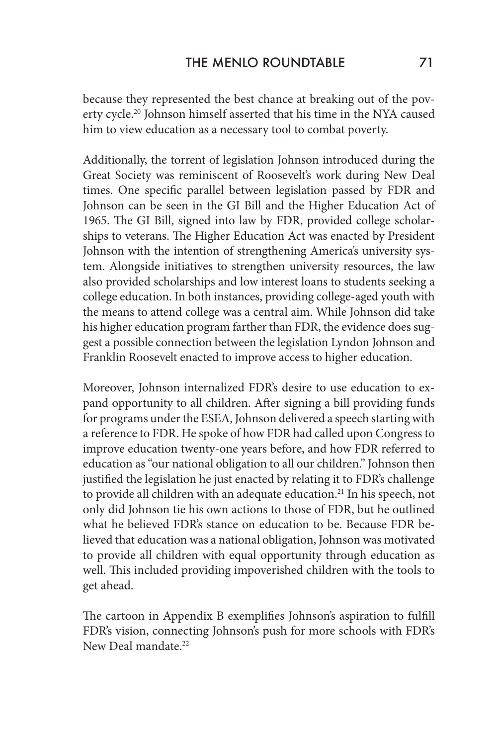because they represented the best chance at breaking out of the poverty cycle.20 Johnson himself asserted that his time in the NYA caused him to view education as a necessary tool to combat poverty.

Additionally, the torrent of legislation Johnson introduced during the Great Society was reminiscent of Roosevelt's work during New Deal times. One specific parallel between legislation passed by FDR and Johnson can be seen in the GI Bill and the Higher Education Act of 1965. The GI Bill, signed into law by FDR, provided college scholarships to veterans. The Higher Education Act was enacted by President Johnson with the intention of strengthening America's university system. Alongside initiatives to strengthen university resources, the law also provided scholarships and low interest loans to students seeking a college education. In both instances, providing college-aged youth with the means to attend college was a central aim. While Johnson did take his higher education program farther than FDR, the evidence does suggest a possible connection between the legislation Lyndon Johnson and Franklin Roosevelt enacted to improve access to higher education.

Moreover, Johnson internalized FDR's desire to use education to expand opportunity to all children. After signing a bill providing funds for programs under the ESEA, Johnson delivered a speech starting with a reference to FDR. He spoke of how FDR had called upon Congress to improve education twenty-one years before, and how FDR referred to education as "our national obligation to all our children." Johnson then justified the legislation he just enacted by relating it to FDR's challenge to provide all children with an adequate education.<sup>21</sup> In his speech, not only did Johnson tie his own actions to those of FDR, but he outlined what he believed FDR's stance on education to be. Because FDR believed that education was a national obligation, Johnson was motivated to provide all children with equal opportunity through education as well. This included providing impoverished children with the tools to get ahead.

The cartoon in Appendix B exemplifies Johnson's aspiration to fulfill FDR's vision, connecting Johnson's push for more schools with FDR's New Deal mandate.<sup>22</sup>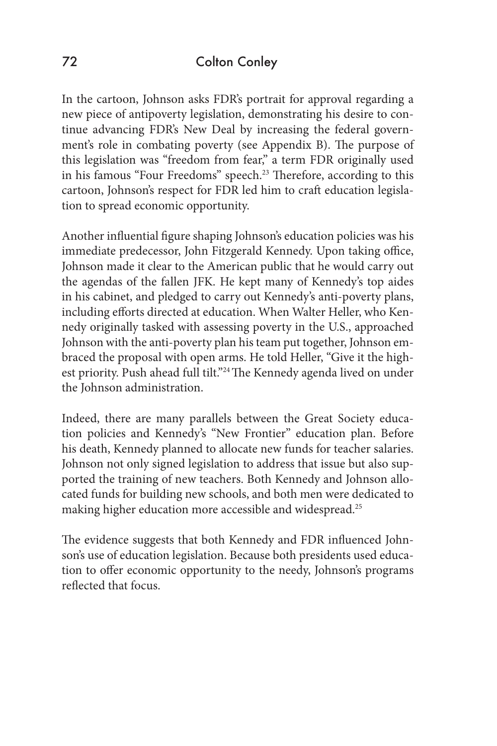In the cartoon, Johnson asks FDR's portrait for approval regarding a new piece of antipoverty legislation, demonstrating his desire to continue advancing FDR's New Deal by increasing the federal government's role in combating poverty (see Appendix B). The purpose of this legislation was "freedom from fear," a term FDR originally used in his famous "Four Freedoms" speech.<sup>23</sup> Therefore, according to this cartoon, Johnson's respect for FDR led him to craft education legislation to spread economic opportunity.

Another influential figure shaping Johnson's education policies was his immediate predecessor, John Fitzgerald Kennedy. Upon taking office, Johnson made it clear to the American public that he would carry out the agendas of the fallen JFK. He kept many of Kennedy's top aides in his cabinet, and pledged to carry out Kennedy's anti-poverty plans, including efforts directed at education. When Walter Heller, who Kennedy originally tasked with assessing poverty in the U.S., approached Johnson with the anti-poverty plan his team put together, Johnson embraced the proposal with open arms. He told Heller, "Give it the highest priority. Push ahead full tilt."<sup>24</sup> The Kennedy agenda lived on under the Johnson administration.

Indeed, there are many parallels between the Great Society education policies and Kennedy's "New Frontier" education plan. Before his death, Kennedy planned to allocate new funds for teacher salaries. Johnson not only signed legislation to address that issue but also supported the training of new teachers. Both Kennedy and Johnson allocated funds for building new schools, and both men were dedicated to making higher education more accessible and widespread.<sup>25</sup>

The evidence suggests that both Kennedy and FDR influenced Johnson's use of education legislation. Because both presidents used education to offer economic opportunity to the needy, Johnson's programs reflected that focus.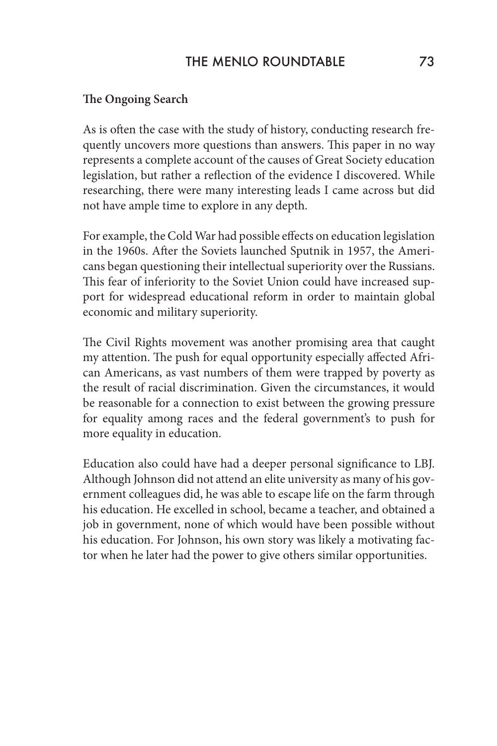## THE MENLO ROUNDTABLE 73

#### **The Ongoing Search**

As is often the case with the study of history, conducting research frequently uncovers more questions than answers. This paper in no way represents a complete account of the causes of Great Society education legislation, but rather a reflection of the evidence I discovered. While researching, there were many interesting leads I came across but did not have ample time to explore in any depth.

For example, the Cold War had possible effects on education legislation in the 1960s. After the Soviets launched Sputnik in 1957, the Americans began questioning their intellectual superiority over the Russians. This fear of inferiority to the Soviet Union could have increased support for widespread educational reform in order to maintain global economic and military superiority.

The Civil Rights movement was another promising area that caught my attention. The push for equal opportunity especially affected African Americans, as vast numbers of them were trapped by poverty as the result of racial discrimination. Given the circumstances, it would be reasonable for a connection to exist between the growing pressure for equality among races and the federal government's to push for more equality in education.

Education also could have had a deeper personal significance to LBJ. Although Johnson did not attend an elite university as many of his government colleagues did, he was able to escape life on the farm through his education. He excelled in school, became a teacher, and obtained a job in government, none of which would have been possible without his education. For Johnson, his own story was likely a motivating factor when he later had the power to give others similar opportunities.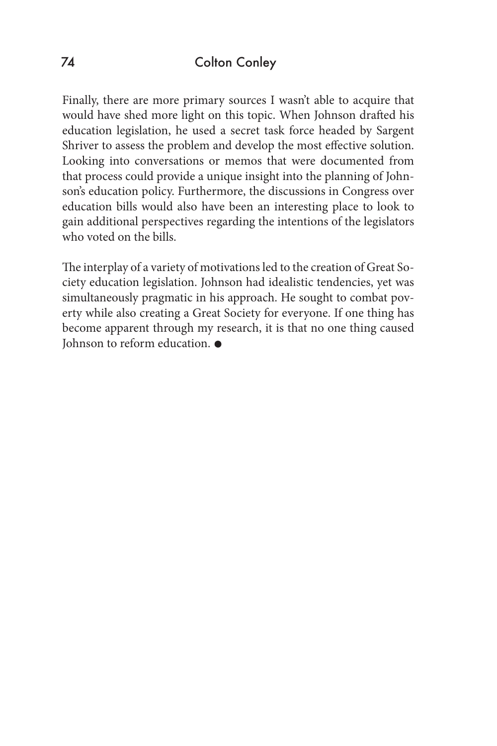Finally, there are more primary sources I wasn't able to acquire that would have shed more light on this topic. When Johnson drafted his education legislation, he used a secret task force headed by Sargent Shriver to assess the problem and develop the most effective solution. Looking into conversations or memos that were documented from that process could provide a unique insight into the planning of Johnson's education policy. Furthermore, the discussions in Congress over education bills would also have been an interesting place to look to gain additional perspectives regarding the intentions of the legislators who voted on the bills.

The interplay of a variety of motivations led to the creation of Great Society education legislation. Johnson had idealistic tendencies, yet was simultaneously pragmatic in his approach. He sought to combat poverty while also creating a Great Society for everyone. If one thing has become apparent through my research, it is that no one thing caused Johnson to reform education.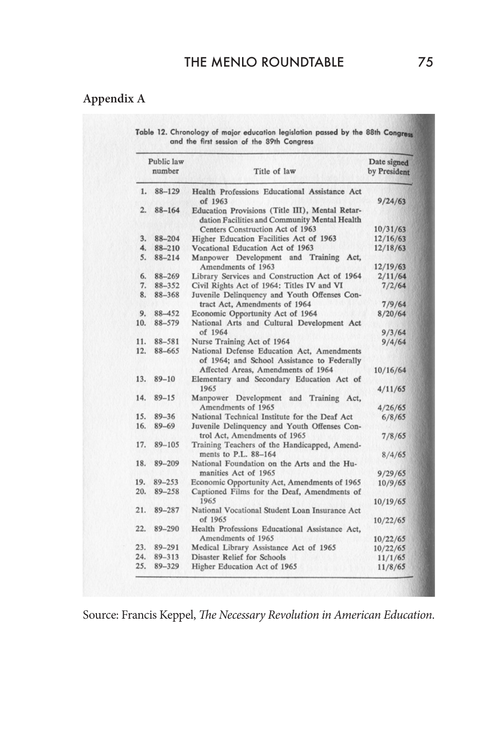# **Appendix A**

Table 12. Chronology of major education legislation passed by the 88th Congress and the first session of the 89th Congress

| Public law<br>number |                     | Title of law                                                                                                                                                                 | Date signed<br>by President |
|----------------------|---------------------|------------------------------------------------------------------------------------------------------------------------------------------------------------------------------|-----------------------------|
| 1.                   | 88-129              | Health Professions Educational Assistance Act<br>of 1963                                                                                                                     | 9/24/63                     |
| 2.                   | 88-164              | Education Provisions (Title III), Mental Retar-<br>dation Facilities and Community Mental Health<br>Centers Construction Act of 1963                                         | 10/31/63                    |
| 3.                   | 88-204              | Higher Education Facilities Act of 1963                                                                                                                                      | 12/16/63                    |
| 4.                   | 88-210              | Vocational Education Act of 1963                                                                                                                                             | 12/18/63                    |
| 5.                   | $88 - 214$          | Manpower Development and Training Act,<br>Amendments of 1963                                                                                                                 | 12/19/63                    |
| 6.                   | 88-269              | Library Services and Construction Act of 1964                                                                                                                                | 2/11/64                     |
| 7.                   | 88-352              | Civil Rights Act of 1964: Titles IV and VI                                                                                                                                   | 7/2/64                      |
| 8.                   | 88-368              | Juvenile Delinquency and Youth Offenses Con-<br>tract Act, Amendments of 1964                                                                                                | 7/9/64                      |
| 9.                   | 88-452              | Economic Opportunity Act of 1964                                                                                                                                             | 8/20/64                     |
| 10.                  | 88-579              | National Arts and Cultural Development Act                                                                                                                                   |                             |
|                      |                     | of 1964                                                                                                                                                                      | 9/3/64                      |
| 11.                  | 88-581              | Nurse Training Act of 1964                                                                                                                                                   | 9/4/64                      |
| 12.<br>13.           | 88-665<br>$89 - 10$ | National Defense Education Act, Amendments<br>of 1964; and School Assistance to Federally<br>Affected Areas, Amendments of 1964<br>Elementary and Secondary Education Act of | 10/16/64                    |
|                      |                     | 1965                                                                                                                                                                         | 4/11/65                     |
| 14.                  | $89 - 15$           | Manpower Development and Training Act,<br>Amendments of 1965                                                                                                                 | 4/26/65                     |
| 15.                  | $89 - 36$           | National Technical Institute for the Deaf Act                                                                                                                                | 6/8/65                      |
| 16.                  | $89 - 69$           | Juvenile Delinquency and Youth Offenses Con-<br>trol Act, Amendments of 1965                                                                                                 | 7/8/65                      |
| 17.                  | $89 - 105$          | Training Teachers of the Handicapped, Amend-                                                                                                                                 |                             |
| 18.                  | 89-209              | ments to P.L. 88-164<br>National Foundation on the Arts and the Hu-                                                                                                          | 8/4/65                      |
|                      |                     | manities Act of 1965                                                                                                                                                         | 9/29/65                     |
| 19.<br>20.           | 89-253<br>89-258    | Economic Opportunity Act, Amendments of 1965<br>Captioned Films for the Deaf, Amendments of                                                                                  | 10/9/65                     |
|                      |                     | 1965                                                                                                                                                                         | 10/19/65                    |
| 21.                  | 89-287              | National Vocational Student Loan Insurance Act<br>of 1965                                                                                                                    | 10/22/65                    |
| 22.                  | 89-290              | Health Professions Educational Assistance Act,                                                                                                                               |                             |
|                      |                     | Amendments of 1965                                                                                                                                                           | 10/22/65                    |
| 23.                  | $89 - 291$          | Medical Library Assistance Act of 1965                                                                                                                                       | 10/22/65                    |
| 24.                  | 89-313              | Disaster Relief for Schools                                                                                                                                                  | 11/1/65                     |
| 25.                  | 89-329              | Higher Education Act of 1965                                                                                                                                                 | 11/8/65                     |

Source: Francis Keppel, *The Necessary Revolution in American Education*.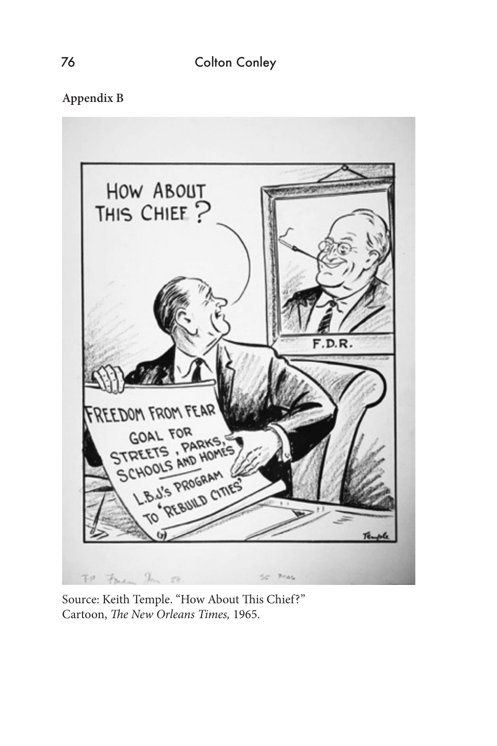**Appendix B**



Source: Keith Temple. "How About This Chief?" Cartoon, *The New Orleans Times,* 1965.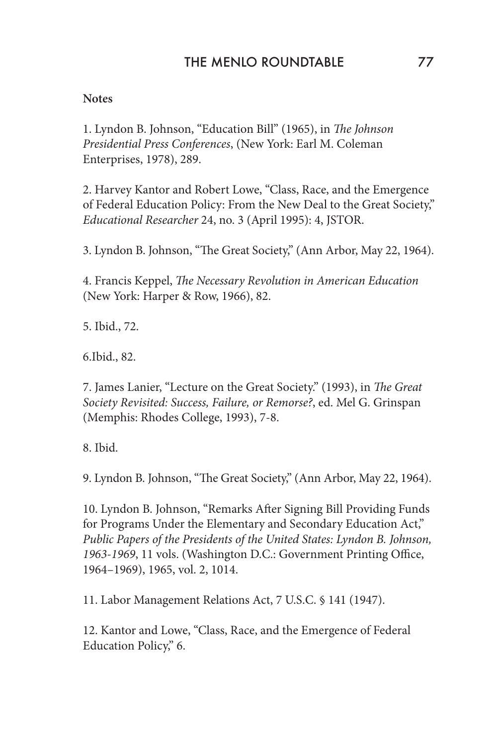#### **Notes**

1. Lyndon B. Johnson, "Education Bill" (1965), in *The Johnson Presidential Press Conferences*, (New York: Earl M. Coleman Enterprises, 1978), 289.

2. Harvey Kantor and Robert Lowe, "Class, Race, and the Emergence of Federal Education Policy: From the New Deal to the Great Society," *Educational Researcher* 24, no. 3 (April 1995): 4, JSTOR.

3. Lyndon B. Johnson, "The Great Society," (Ann Arbor, May 22, 1964).

4. Francis Keppel, *The Necessary Revolution in American Education* (New York: Harper & Row, 1966), 82.

5. Ibid., 72.

6.Ibid., 82.

7. James Lanier, "Lecture on the Great Society." (1993), in *The Great Society Revisited: Success, Failure, or Remorse?*, ed. Mel G. Grinspan (Memphis: Rhodes College, 1993), 7-8.

8. Ibid.

9. Lyndon B. Johnson, "The Great Society," (Ann Arbor, May 22, 1964).

10. Lyndon B. Johnson, "Remarks After Signing Bill Providing Funds for Programs Under the Elementary and Secondary Education Act," *Public Papers of the Presidents of the United States: Lyndon B. Johnson, 1963-1969*, 11 vols. (Washington D.C.: Government Printing Office, 1964–1969), 1965, vol. 2, 1014.

11. Labor Management Relations Act, 7 U.S.C. § 141 (1947).

12. Kantor and Lowe, "Class, Race, and the Emergence of Federal Education Policy," 6.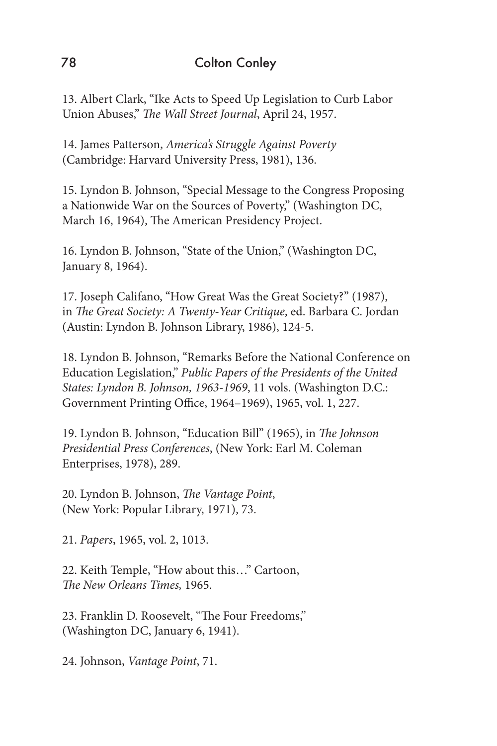13. Albert Clark, "Ike Acts to Speed Up Legislation to Curb Labor Union Abuses," *The Wall Street Journal*, April 24, 1957.

14. James Patterson, *America's Struggle Against Poverty* (Cambridge: Harvard University Press, 1981), 136.

15. Lyndon B. Johnson, "Special Message to the Congress Proposing a Nationwide War on the Sources of Poverty," (Washington DC, March 16, 1964), The American Presidency Project.

16. Lyndon B. Johnson, "State of the Union," (Washington DC, January 8, 1964).

17. Joseph Califano, "How Great Was the Great Society?" (1987), in *The Great Society: A Twenty-Year Critique*, ed. Barbara C. Jordan (Austin: Lyndon B. Johnson Library, 1986), 124-5.

18. Lyndon B. Johnson, "Remarks Before the National Conference on Education Legislation," *Public Papers of the Presidents of the United States: Lyndon B. Johnson, 1963-1969*, 11 vols. (Washington D.C.: Government Printing Office, 1964–1969), 1965, vol. 1, 227.

19. Lyndon B. Johnson, "Education Bill" (1965), in *The Johnson Presidential Press Conferences*, (New York: Earl M. Coleman Enterprises, 1978), 289.

20. Lyndon B. Johnson, *The Vantage Point*, (New York: Popular Library, 1971), 73.

21. *Papers*, 1965, vol. 2, 1013.

22. Keith Temple, "How about this…" Cartoon, *The New Orleans Times,* 1965.

23. Franklin D. Roosevelt, "The Four Freedoms," (Washington DC, January 6, 1941).

24. Johnson, *Vantage Point*, 71.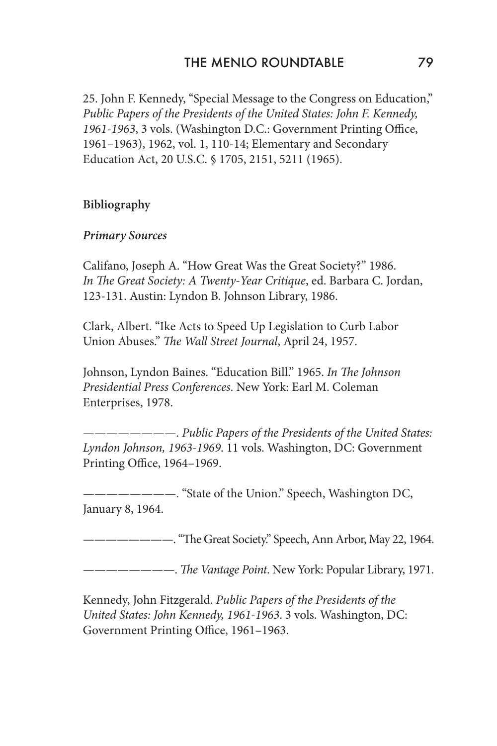25. John F. Kennedy, "Special Message to the Congress on Education," *Public Papers of the Presidents of the United States: John F. Kennedy, 1961-1963*, 3 vols. (Washington D.C.: Government Printing Office, 1961–1963), 1962, vol. 1, 110-14; Elementary and Secondary Education Act, 20 U.S.C. § 1705, 2151, 5211 (1965).

# **Bibliography**

#### *Primary Sources*

Califano, Joseph A. "How Great Was the Great Society?" 1986. *In The Great Society: A Twenty-Year Critique*, ed. Barbara C. Jordan, 123-131. Austin: Lyndon B. Johnson Library, 1986.

Clark, Albert. "Ike Acts to Speed Up Legislation to Curb Labor Union Abuses." *The Wall Street Journal*, April 24, 1957.

Johnson, Lyndon Baines. "Education Bill." 1965. *In The Johnson Presidential Press Conferences*. New York: Earl M. Coleman Enterprises, 1978.

————————. *Public Papers of the Presidents of the United States: Lyndon Johnson, 1963-1969*. 11 vols. Washington, DC: Government Printing Office, 1964–1969.

—————. "State of the Union." Speech, Washington DC, January 8, 1964.

————————. "The Great Society." Speech, Ann Arbor, May 22, 1964.

————————. *The Vantage Point*. New York: Popular Library, 1971.

Kennedy, John Fitzgerald. *Public Papers of the Presidents of the United States: John Kennedy, 1961-1963*. 3 vols. Washington, DC: Government Printing Office, 1961–1963.